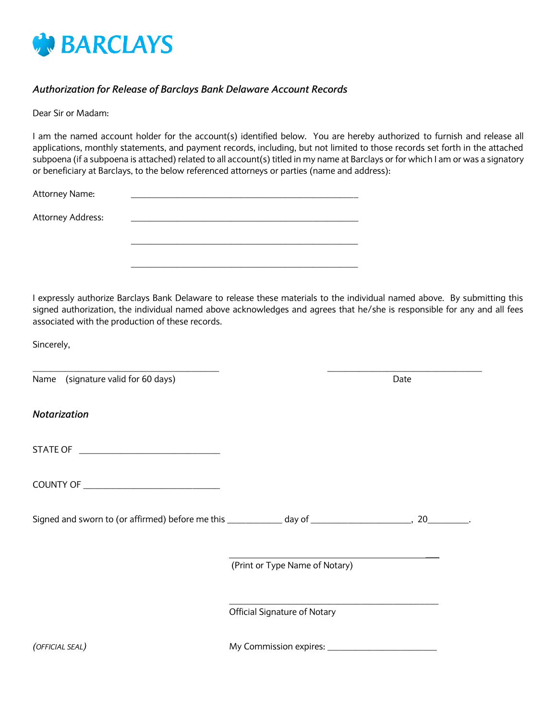

## *Authorization for Release of Barclays Bank Delaware Account Records*

Dear Sir or Madam:

I am the named account holder for the account(s) identified below. You are hereby authorized to furnish and release all applications, monthly statements, and payment records, including, but not limited to those records set forth in the attached subpoena (if a subpoena is attached) related to all account(s) titled in my name at Barclays or for which I am or was a signatory or beneficiary at Barclays, to the below referenced attorneys or parties (name and address):

| Attorney Name:    |  |
|-------------------|--|
| Attorney Address: |  |
|                   |  |
|                   |  |
|                   |  |

I expressly authorize Barclays Bank Delaware to release these materials to the individual named above. By submitting this signed authorization, the individual named above acknowledges and agrees that he/she is responsible for any and all fees associated with the production of these records.

Sincerely,

Name (signature valid for 60 days) Date and the state of the state of the Date of the Date of the Date of the Date of the Date of the Date of the Date of the Date of the Date of the Date of the Date of the Date of the Date

*Notarization*

| STATE OF |  |  |  |
|----------|--|--|--|
|          |  |  |  |

COUNTY OF **EXECUTE A SECURE A SECURE A** 

Signed and sworn to (or affirmed) before me this \_\_\_\_\_\_\_\_\_\_\_\_ day of \_\_\_\_\_\_\_\_\_\_\_\_\_\_\_\_\_\_\_\_\_\_, 20\_\_\_\_\_\_\_\_\_.

(Print or Type Name of Notary)

\_\_\_\_\_\_\_\_\_\_\_\_\_\_\_\_\_\_\_\_\_\_\_\_\_\_\_\_\_\_\_\_\_\_\_\_\_\_\_\_\_\_\_\_\_\_

Official Signature of Notary

*(OFFICIAL SEAL)* My Commission expires: \_\_\_\_\_\_\_\_\_\_\_\_\_\_\_\_\_\_\_\_\_\_\_\_

\_\_\_\_\_\_\_\_\_\_\_\_\_\_\_\_\_\_\_\_\_\_\_\_\_\_\_\_\_\_\_\_\_\_\_\_\_\_\_\_\_ \_\_\_\_\_\_\_\_\_\_\_\_\_\_\_\_\_\_\_\_\_\_\_\_\_\_\_\_\_\_\_\_\_\_

 $\overline{\phantom{a}}$